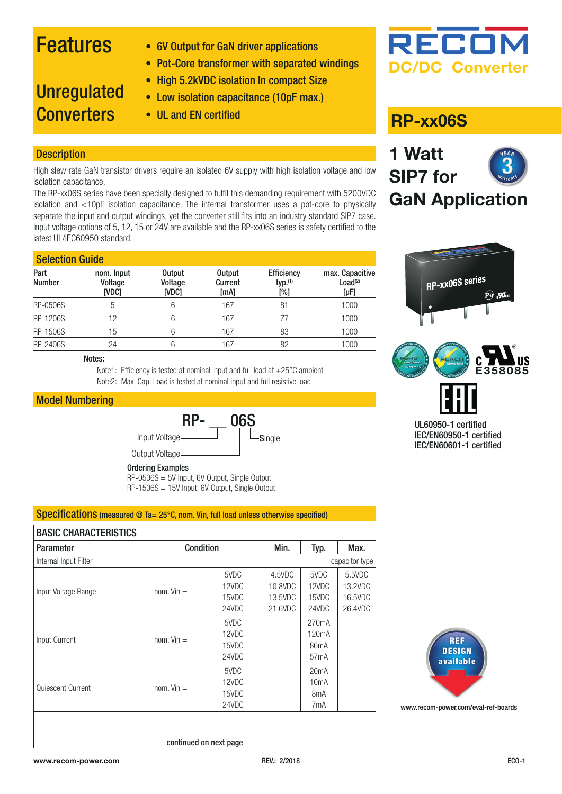# Features

- 6V Output for GaN driver applications
- Pot-Core transformer with separated windings

### • High 5.2kVDC isolation In compact Size

- Low isolation capacitance (10pF max.)
- **Unregulated Converters**
- UL and EN certified **RP-xx06S**

### **Description**

High slew rate GaN transistor drivers require an isolated 6V supply with high isolation voltage and low isolation capacitance.

The RP-xx06S series have been specially designed to fulfil this demanding requirement with 5200VDC isolation and <10pF isolation capacitance. The internal transformer uses a pot-core to physically separate the input and output windings, yet the converter still fits into an industry standard SIP7 case. Input voltage options of 5, 12, 15 or 24V are available and the RP-xx06S series is safety certified to the latest UL/IEC60950 standard.

#### **Selection Guide**

| Part<br><b>Number</b> | nom. Input<br>Voltage<br>[VDC] | <b>Output</b><br>Voltage<br>[VDC] | <b>Output</b><br>Current<br>[mA] | <b>Efficiency</b><br>typ. <sup>(1)</sup><br>$[\%]$ | max. Capacitive<br>Load <sup>(2)</sup><br>$[\mu F]$ |
|-----------------------|--------------------------------|-----------------------------------|----------------------------------|----------------------------------------------------|-----------------------------------------------------|
| RP-0506S              |                                | 6                                 | 167                              | 81                                                 | 1000                                                |
| <b>RP-1206S</b>       | 12                             | 6                                 | 167                              |                                                    | 1000                                                |
| <b>RP-1506S</b>       | 15                             | 6                                 | 167                              | 83                                                 | 1000                                                |
| RP-2406S              | 24                             | 6                                 | 167                              | 82                                                 | 1000                                                |

#### Notes:

Note1: Efficiency is tested at nominal input and full load at +25°C ambient Note2: Max. Cap. Load is tested at nominal input and full resistive load

### Model Numbering



Ordering Examples

RP-0506S = 5V Input, 6V Output, Single Output RP-1506S = 15V Input, 6V Output, Single Output

### Specifications (measured @ Ta= 25°C, nom. Vin, full load unless otherwise specified)

| <b>BASIC CHARACTERISTICS</b> |                |       |         |                    |         |
|------------------------------|----------------|-------|---------|--------------------|---------|
| <b>Parameter</b>             | Condition      |       | Min.    | Typ.               | Max.    |
| Internal Input Filter        | capacitor type |       |         |                    |         |
|                              |                | 5VDC  | 4.5VDC  | 5VDC               | 5.5VDC  |
| Input Voltage Range          | $nom.$ Vin $=$ | 12VDC | 10.8VDC | 12VDC              | 13.2VDC |
|                              |                | 15VDC | 13.5VDC | 15VDC              | 16.5VDC |
|                              |                | 24VDC | 21,6VDC | 24VDC              | 26.4VDC |
|                              | $nom.$ Vin $=$ | 5VDC  |         | 270 <sub>m</sub> A |         |
| Input Current                |                | 12VDC |         | 120 <sub>m</sub> A |         |
|                              |                | 15VDC |         | 86 <sub>m</sub> A  |         |
|                              |                | 24VDC |         | 57 <sub>m</sub> A  |         |
|                              |                | 5VDC  |         | 20mA               |         |
| Quiescent Current            | $nom.$ Vin $=$ | 12VDC |         | 10mA               |         |
|                              |                | 15VDC |         | 8 <sub>m</sub> A   |         |
|                              |                | 24VDC |         | 7mA                |         |
|                              |                |       |         |                    |         |



[www.recom-power.com/eval-ref-boards](https://www.recom-power.com/de/emea/products/eval-boards.html)

continued on next page





**GaN Application**

**DC/DC Converter**

RECO

**1 Watt** 

**SIP7 for**



IEC/EN60950-1 certified IEC/EN60601-1 certified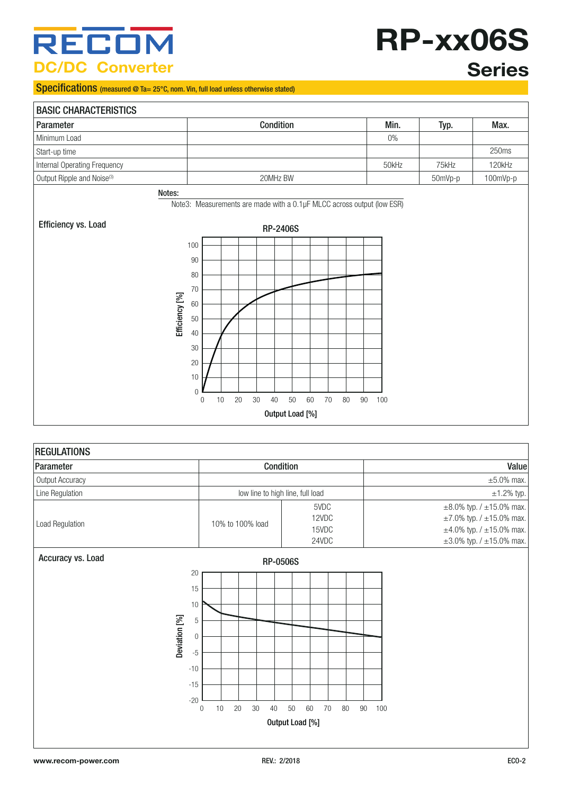# RECON **DC/DC Converter**

### Specifications (measured @ Ta= 25°C, nom. Vin, full load unless otherwise stated)

| RP-xx06S |
|----------|
| Corion   |

## **Series**

### BASIC CHARACTERISTICS Parameter Condition Min. Typ. Max. Minimum Load 0% and 0% and 0% and 0% and 0% and 0% and 0% and 0% and 0% and 0% and 0% and 0% and 0.00  $\mu$ Start-up time 250ms and 250ms and 250ms and 250ms and 250ms and 250ms and 250ms and 250ms and 250ms and 250ms and 250ms and 250ms and 250ms and 250ms and 250ms and 250ms and 250ms and 250ms and 250ms and 250ms and 250ms an Internal Operating Frequency **120kHz** 120kHz 120kHz 120kHz Output Ripple and Noise<sup>(3)</sup> 20MHz BW 30MHz BW 50mVp-p 100mVp-p 100mVp-p Notes: Note3: Measurements are made with a 0.1μF MLCC across output (low ESR)Efficiency vs. Load RP-2406S 100 90 80 70 Efficiency [%] Efficiency [%] 60 50 40 30 20 10 0 0 10 20 30 40 50 60 70 80 90 100

### Output Load [%]

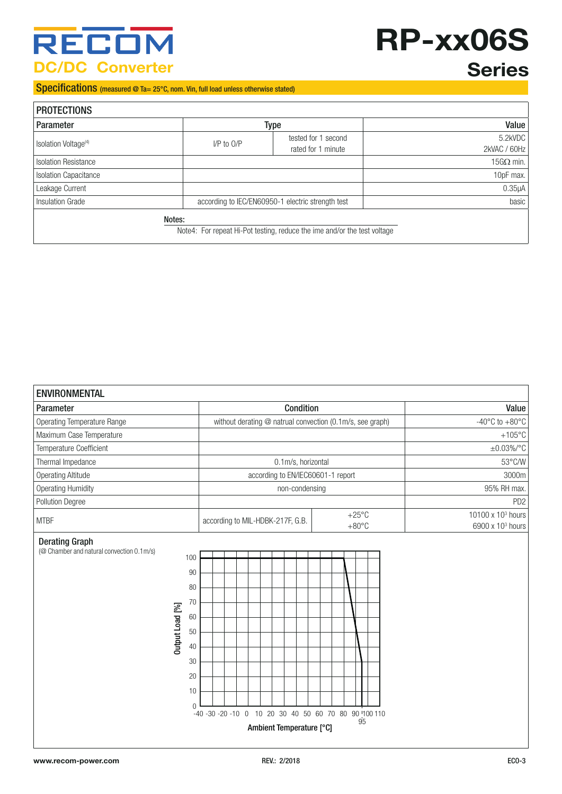# **RECOM DC/DC Converter**

# **RP-xx06S**

# **Series**

Specifications (measured @ Ta= 25°C, nom. Vin, full load unless otherwise stated)

| <b>PROTECTIONS</b>               |                |                                                                          |                         |
|----------------------------------|----------------|--------------------------------------------------------------------------|-------------------------|
| <b>Parameter</b>                 |                | <b>Type</b>                                                              | Value                   |
| Isolation Voltage <sup>(4)</sup> | $I/P$ to $O/P$ | tested for 1 second<br>rated for 1 minute                                | 5.2kVDC<br>2kVAC / 60Hz |
| <b>Isolation Resistance</b>      |                |                                                                          | 15G $\Omega$ min.       |
| <b>Isolation Capacitance</b>     |                |                                                                          | 10pF max.               |
| Leakage Current                  |                |                                                                          | 0.35 <sub>µ</sub> A     |
| Insulation Grade                 |                | according to IEC/EN60950-1 electric strength test                        | basic                   |
|                                  | Notes:         |                                                                          |                         |
|                                  |                | Note4: For repeat Hi-Pot testing, reduce the ime and/or the test voltage |                         |

| <b>ENVIRONMENTAL</b>                                                                                                                                                 |                                                                                        |                                                               |
|----------------------------------------------------------------------------------------------------------------------------------------------------------------------|----------------------------------------------------------------------------------------|---------------------------------------------------------------|
| Parameter                                                                                                                                                            | Condition                                                                              | Value                                                         |
| Operating Temperature Range                                                                                                                                          | without derating @ natrual convection (0.1m/s, see graph)                              | -40 $^{\circ}$ C to +80 $^{\circ}$ C                          |
| Maximum Case Temperature                                                                                                                                             |                                                                                        | $+105^{\circ}$ C                                              |
| Temperature Coefficient                                                                                                                                              |                                                                                        | $\pm 0.03\%$ /°C                                              |
| Thermal Impedance                                                                                                                                                    | 0.1m/s, horizontal                                                                     | 53°C/W                                                        |
| <b>Operating Altitude</b>                                                                                                                                            | according to EN/IEC60601-1 report                                                      | 3000m                                                         |
| <b>Operating Humidity</b>                                                                                                                                            | non-condensing                                                                         | 95% RH max.                                                   |
| Pollution Degree                                                                                                                                                     |                                                                                        | PD <sub>2</sub>                                               |
| <b>MTBF</b>                                                                                                                                                          | $+25^{\circ}$ C<br>according to MIL-HDBK-217F, G.B.<br>$+80^{\circ}$ C                 | 10100 x 10 <sup>3</sup> hours<br>6900 x 10 <sup>3</sup> hours |
| <b>Derating Graph</b><br>(@ Chamber and natural convection 0.1m/s)<br>100<br>90<br>80<br>70<br>Output Load [%]<br>60<br>50<br>40<br>30<br>20<br>10<br>$\overline{0}$ | -40 -30 -20 -10 0 10 20 30 40 50 60 70 80 90 100 110<br>95<br>Ambient Temperature [°C] |                                                               |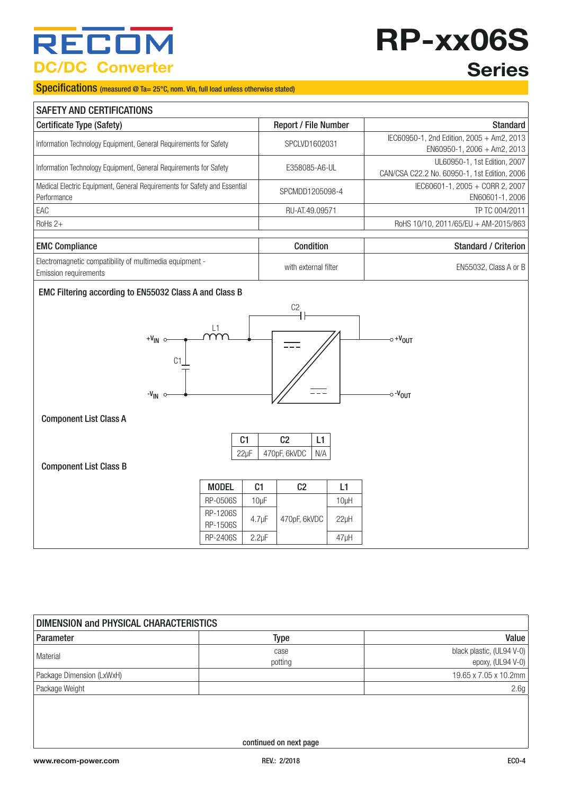# RECO **DC/DC Converter**

# **RP-xx06S Series**

#### Specifications (measured @ Ta= 25°C, nom. Vin, full load unless otherwise stated)

| <b>SAFETY AND CERTIFICATIONS</b>                                                           |                             |                                                                              |  |  |
|--------------------------------------------------------------------------------------------|-----------------------------|------------------------------------------------------------------------------|--|--|
| Certificate Type (Safety)                                                                  | <b>Report / File Number</b> | <b>Standard</b>                                                              |  |  |
| Information Technology Equipment, General Requirements for Safety                          | SPCLVD1602031               | IEC60950-1, 2nd Edition, 2005 + Am2, 2013<br>$EN60950-1$ , 2006 + Am2, 2013  |  |  |
| Information Technology Equipment, General Requirements for Safety                          | E358085-A6-UL               | UL60950-1, 1st Edition, 2007<br>CAN/CSA C22.2 No. 60950-1, 1st Edition, 2006 |  |  |
| Medical Electric Equipment, General Requirements for Safety and Essential<br>l Performance | SPCMDD1205098-4             | IEC60601-1, 2005 + CORR 2, 2007<br>EN60601-1, 2006                           |  |  |
| EAC                                                                                        | RU-AT.49.09571              | TP TC 004/2011                                                               |  |  |
| $RoHs 2+$                                                                                  |                             | RoHS 10/10, 2011/65/EU + AM-2015/863                                         |  |  |
|                                                                                            |                             |                                                                              |  |  |
| <b>EMC Compliance</b>                                                                      | Condition                   | <b>Standard / Criterion</b>                                                  |  |  |
| Electromagnetic compatibility of multimedia equipment -<br>Emission requirements           | with external filter        | EN55032, Class A or B                                                        |  |  |

#### EMC Filtering according to EN55032 Class A and Class B



Component List Class A

| C1   | כיו          |     |
|------|--------------|-----|
| 22uF | 470pF, 6kVDC | N/A |

### Component List Class B

| <b>MODEL</b>         | C1          | C <sub>2</sub> | I 1     |
|----------------------|-------------|----------------|---------|
| RP-0506S             | 10uF        |                | 10uH    |
| RP-1206S<br>RP-1506S | $4.7 \mu F$ | 470pF, 6kVDC   | 22uH    |
| RP-2406S             | $2.2 \mu F$ |                | $47$ µH |

| DIMENSION and PHYSICAL CHARACTERISTICS |                        |                                                |  |  |
|----------------------------------------|------------------------|------------------------------------------------|--|--|
| Parameter                              | Type                   | Value                                          |  |  |
| Material                               | case<br>potting        | black plastic, (UL94 V-0)<br>epoxy, (UL94 V-0) |  |  |
| Package Dimension (LxWxH)              |                        | 19.65 x 7.05 x 10.2mm                          |  |  |
| Package Weight                         |                        | 2.6g                                           |  |  |
|                                        | continued on next page |                                                |  |  |